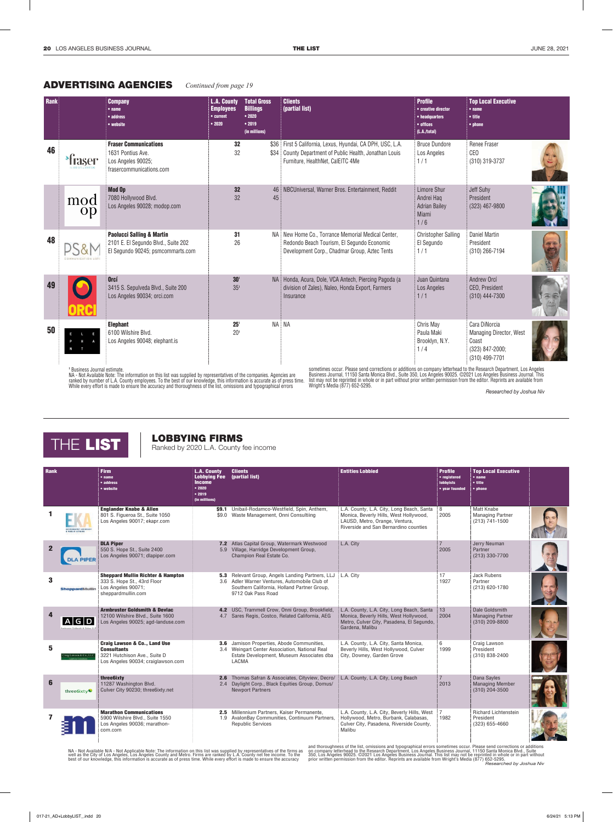## THE LIST | LOBBYING FIRMS

Ranked by 2020 L.A. County fee income

| Rank                    |                                       | <b>Firm</b><br>$•$ name<br>• address<br>• website                                                                                   | <b>L.A. County</b><br><b>Lobbying Fee</b><br><b>Income</b><br>•2020<br>• 2019<br>(in millions) | <b>Clients</b><br>(partial list)                                                                                                                                              | <b>Entities Lobbied</b>                                                                                                                                        | <b>Profile</b><br>• registered<br><b>lobbyists</b><br>• year founded | <b>Top Local Executive</b><br>$•$ name<br>$\bullet$ title<br>$\bullet$ phone |  |
|-------------------------|---------------------------------------|-------------------------------------------------------------------------------------------------------------------------------------|------------------------------------------------------------------------------------------------|-------------------------------------------------------------------------------------------------------------------------------------------------------------------------------|----------------------------------------------------------------------------------------------------------------------------------------------------------------|----------------------------------------------------------------------|------------------------------------------------------------------------------|--|
|                         | OVERNMENT ADVOCAL<br>I PUBLIC AFFAIRS | <b>Englander Knabe &amp; Allen</b><br>801 S. Figueroa St., Suite 1050<br>Los Angeles 90017; ekapr.com                               |                                                                                                | \$9.1 Unibail-Rodamco-Westfield, Spin, Anthem,<br>\$9.0 Waste Management, Onni Consultiing                                                                                    | L.A. County, L.A. City, Long Beach, Santa<br>Monica, Beverly Hills, West Hollywood,<br>LAUSD, Metro, Orange, Ventura,<br>Riverside and San Bernardino counties | 8<br>2005                                                            | Matt Knabe<br><b>Managing Partner</b><br>(213) 741-1500                      |  |
| $\overline{2}$          | <b>DLA PIPER</b>                      | <b>DLA Piper</b><br>550 S. Hope St., Suite 2400<br>Los Angeles 90071; dlapiper.com                                                  |                                                                                                | 7.2 Atlas Capital Group, Watermark Westwood<br>5.9 Village, Harridge Development Group,<br>Champion Real Estate Co.                                                           | L.A. City                                                                                                                                                      | $\overline{7}$<br>2005                                               | Jerry Neuman<br>Partner<br>(213) 330-7700                                    |  |
| 3                       | <b>SheppardMullin</b>                 | <b>Sheppard Mullin Richter &amp; Hampton</b><br>333 S. Hope St., 43rd Floor<br>Los Angeles 90071;<br>sheppardmullin.com             |                                                                                                | <b>5.3</b> Relevant Group, Angels Landing Partners, LLJ<br>3.6 Adler Warner Ventures, Automobile Club of<br>Southern California, Holland Partner Group,<br>9712 Oak Pass Road | L.A. City                                                                                                                                                      | 17<br>1927                                                           | <b>Jack Rubens</b><br>Partner<br>(213) 620-1780                              |  |
| $\overline{\mathbf{A}}$ | A G D                                 | <b>Armbruster Goldsmith &amp; Devlac</b><br>12100 Wilshire Blvd., Suite 1600<br>Los Angeles 90025; agd-landuse.com                  |                                                                                                | 4.2 USC, Trammell Crow, Onni Group, Brookfield,<br>4.7 Sares Regis, Costco, Related California, AEG                                                                           | L.A. County, L.A. City, Long Beach, Santa<br>Monica, Beverly Hills, West Hollywood,<br>Metro, Culver City, Pasadena, El Segundo,<br>Gardena, Malibu            | 13<br>2004                                                           | Dale Goldsmith<br><b>Managing Partner</b><br>(310) 209-8800                  |  |
| 5                       | ig Lawson & Co., LLC                  | <b>Craig Lawson &amp; Co., Land Use</b><br><b>Consultants</b><br>3221 Hutchison Ave., Suite D<br>Los Angeles 90034; craiglawson.com |                                                                                                | <b>3.6</b> Jamison Properties, Abode Communities,<br>3.4 Weingart Center Association, National Real<br>Estate Development, Museum Associates dba<br>LACMA                     | L.A. County, L.A. City, Santa Monica,<br>Beverly Hills, West Hollywood, Culver<br>City, Downey, Garden Grove                                                   | 6<br>1999                                                            | Craig Lawson<br>President<br>(310) 838-2400                                  |  |
| 6                       | three6ixty <sup>®</sup>               | three6ixty<br>11287 Washington Blvd.<br>Culver City 90230; three6ixty.net                                                           | 2.4                                                                                            | 2.6 Thomas Safran & Associates, Cityview, Decro/<br>Daylight Corp., Black Equities Group, Domus/<br><b>Newport Partners</b>                                                   | L.A. County, L.A. City, Long Beach                                                                                                                             | $\overline{7}$<br>2013                                               | Dana Sayles<br><b>Managing Member</b><br>(310) 204-3500                      |  |
|                         |                                       | <b>Marathon Communications</b><br>5900 Wilshire Blvd., Suite 1550<br>Los Angeles 90036; marathon-<br>com.com                        |                                                                                                | 2.5 Millennium Partners. Kaiser Permanente.<br>1.9 AvalonBay Communities, Continuum Partners,<br><b>Republic Services</b>                                                     | L.A. County, L.A. City, Beverly Hills, West<br>Hollywood, Metro, Burbank, Calabasas,<br>Culver City, Pasadena, Riverside County,<br>Malibu                     | $7^{\circ}$<br>1982                                                  | <b>Richard Lichtenstein</b><br>President<br>$(323) 655 - 4660$               |  |

NA - Not Available N/A - Not Applicable Note: The information on this list was supplied by representatives of the firms as<br>well as the City of Los Angeles, Los Angeles County and Metro. Firms are ranked by L.A. County net

and thoroughness of the list, omissions and typographical errors sometimes occur. Please send corrections or additions<br>on company letterhead to the Research Department, Los Angeles Business Journal, 11150 Santa Monica Blvd